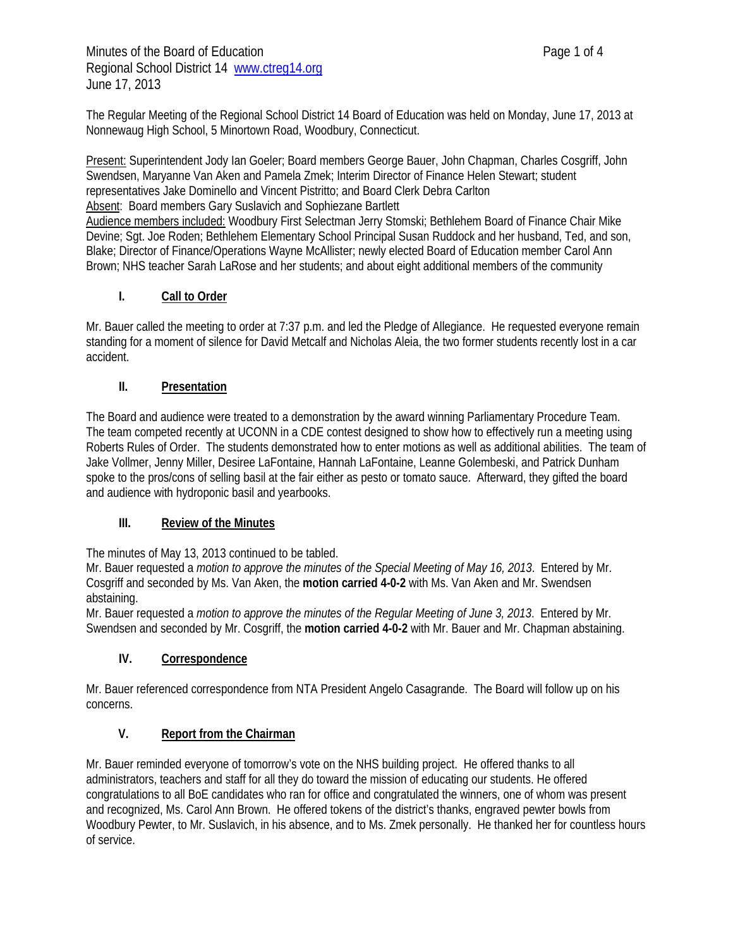The Regular Meeting of the Regional School District 14 Board of Education was held on Monday, June 17, 2013 at Nonnewaug High School, 5 Minortown Road, Woodbury, Connecticut.

Present: Superintendent Jody Ian Goeler; Board members George Bauer, John Chapman, Charles Cosgriff, John Swendsen, Maryanne Van Aken and Pamela Zmek; Interim Director of Finance Helen Stewart; student representatives Jake Dominello and Vincent Pistritto; and Board Clerk Debra Carlton Absent: Board members Gary Suslavich and Sophiezane Bartlett

Audience members included: Woodbury First Selectman Jerry Stomski; Bethlehem Board of Finance Chair Mike Devine; Sgt. Joe Roden; Bethlehem Elementary School Principal Susan Ruddock and her husband, Ted, and son, Blake; Director of Finance/Operations Wayne McAllister; newly elected Board of Education member Carol Ann Brown; NHS teacher Sarah LaRose and her students; and about eight additional members of the community

# **I. Call to Order**

Mr. Bauer called the meeting to order at 7:37 p.m. and led the Pledge of Allegiance. He requested everyone remain standing for a moment of silence for David Metcalf and Nicholas Aleia, the two former students recently lost in a car accident.

## **II. Presentation**

The Board and audience were treated to a demonstration by the award winning Parliamentary Procedure Team. The team competed recently at UCONN in a CDE contest designed to show how to effectively run a meeting using Roberts Rules of Order. The students demonstrated how to enter motions as well as additional abilities. The team of Jake Vollmer, Jenny Miller, Desiree LaFontaine, Hannah LaFontaine, Leanne Golembeski, and Patrick Dunham spoke to the pros/cons of selling basil at the fair either as pesto or tomato sauce. Afterward, they gifted the board and audience with hydroponic basil and yearbooks.

## **III. Review of the Minutes**

The minutes of May 13, 2013 continued to be tabled.

Mr. Bauer requested a *motion to approve the minutes of the Special Meeting of May 16, 2013*. Entered by Mr. Cosgriff and seconded by Ms. Van Aken, the **motion carried 4-0-2** with Ms. Van Aken and Mr. Swendsen abstaining.

Mr. Bauer requested a *motion to approve the minutes of the Regular Meeting of June 3, 2013*. Entered by Mr. Swendsen and seconded by Mr. Cosgriff, the **motion carried 4-0-2** with Mr. Bauer and Mr. Chapman abstaining.

# **IV. Correspondence**

Mr. Bauer referenced correspondence from NTA President Angelo Casagrande. The Board will follow up on his concerns.

## **V. Report from the Chairman**

Mr. Bauer reminded everyone of tomorrow's vote on the NHS building project. He offered thanks to all administrators, teachers and staff for all they do toward the mission of educating our students. He offered congratulations to all BoE candidates who ran for office and congratulated the winners, one of whom was present and recognized, Ms. Carol Ann Brown. He offered tokens of the district's thanks, engraved pewter bowls from Woodbury Pewter, to Mr. Suslavich, in his absence, and to Ms. Zmek personally. He thanked her for countless hours of service.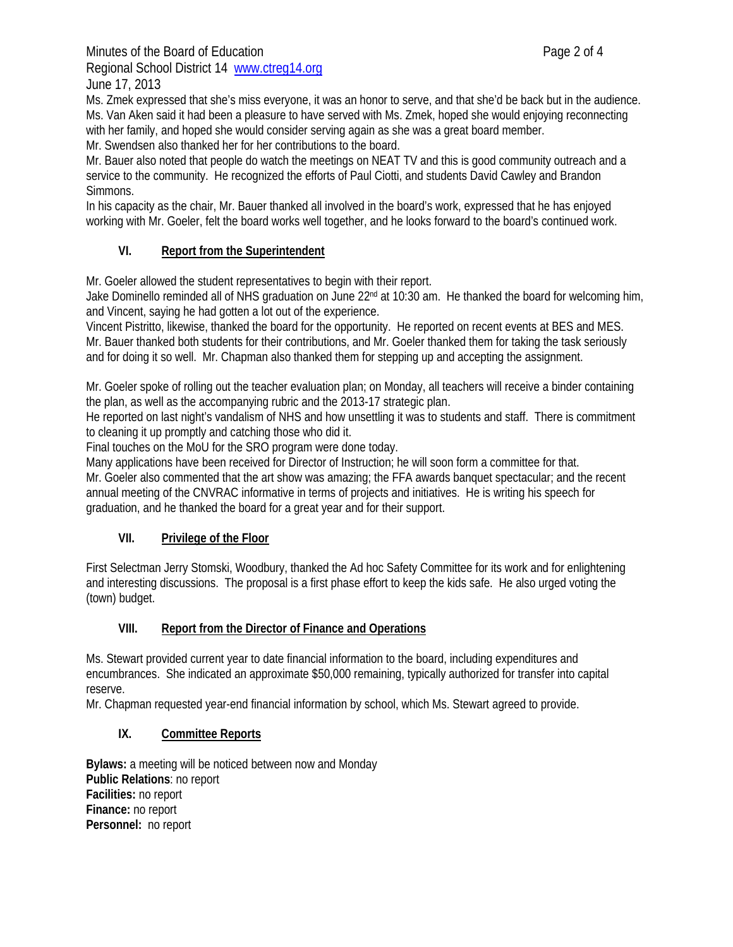Minutes of the Board of Education **Page 2 of 4** Regional School District 14 www.ctreg14.org

June 17, 2013

Ms. Zmek expressed that she's miss everyone, it was an honor to serve, and that she'd be back but in the audience. Ms. Van Aken said it had been a pleasure to have served with Ms. Zmek, hoped she would enjoying reconnecting with her family, and hoped she would consider serving again as she was a great board member.

Mr. Swendsen also thanked her for her contributions to the board.

Mr. Bauer also noted that people do watch the meetings on NEAT TV and this is good community outreach and a service to the community. He recognized the efforts of Paul Ciotti, and students David Cawley and Brandon Simmons.

In his capacity as the chair, Mr. Bauer thanked all involved in the board's work, expressed that he has enjoyed working with Mr. Goeler, felt the board works well together, and he looks forward to the board's continued work.

# **VI. Report from the Superintendent**

Mr. Goeler allowed the student representatives to begin with their report.

Jake Dominello reminded all of NHS graduation on June 22<sup>nd</sup> at 10:30 am. He thanked the board for welcoming him, and Vincent, saying he had gotten a lot out of the experience.

Vincent Pistritto, likewise, thanked the board for the opportunity. He reported on recent events at BES and MES. Mr. Bauer thanked both students for their contributions, and Mr. Goeler thanked them for taking the task seriously and for doing it so well. Mr. Chapman also thanked them for stepping up and accepting the assignment.

Mr. Goeler spoke of rolling out the teacher evaluation plan; on Monday, all teachers will receive a binder containing the plan, as well as the accompanying rubric and the 2013-17 strategic plan.

He reported on last night's vandalism of NHS and how unsettling it was to students and staff. There is commitment to cleaning it up promptly and catching those who did it.

Final touches on the MoU for the SRO program were done today.

Many applications have been received for Director of Instruction; he will soon form a committee for that. Mr. Goeler also commented that the art show was amazing; the FFA awards banquet spectacular; and the recent annual meeting of the CNVRAC informative in terms of projects and initiatives. He is writing his speech for graduation, and he thanked the board for a great year and for their support.

## **VII. Privilege of the Floor**

First Selectman Jerry Stomski, Woodbury, thanked the Ad hoc Safety Committee for its work and for enlightening and interesting discussions. The proposal is a first phase effort to keep the kids safe. He also urged voting the (town) budget.

## **VIII. Report from the Director of Finance and Operations**

Ms. Stewart provided current year to date financial information to the board, including expenditures and encumbrances. She indicated an approximate \$50,000 remaining, typically authorized for transfer into capital reserve.

Mr. Chapman requested year-end financial information by school, which Ms. Stewart agreed to provide.

## **IX. Committee Reports**

**Bylaws:** a meeting will be noticed between now and Monday **Public Relations**: no report **Facilities:** no report **Finance:** no report **Personnel:** no report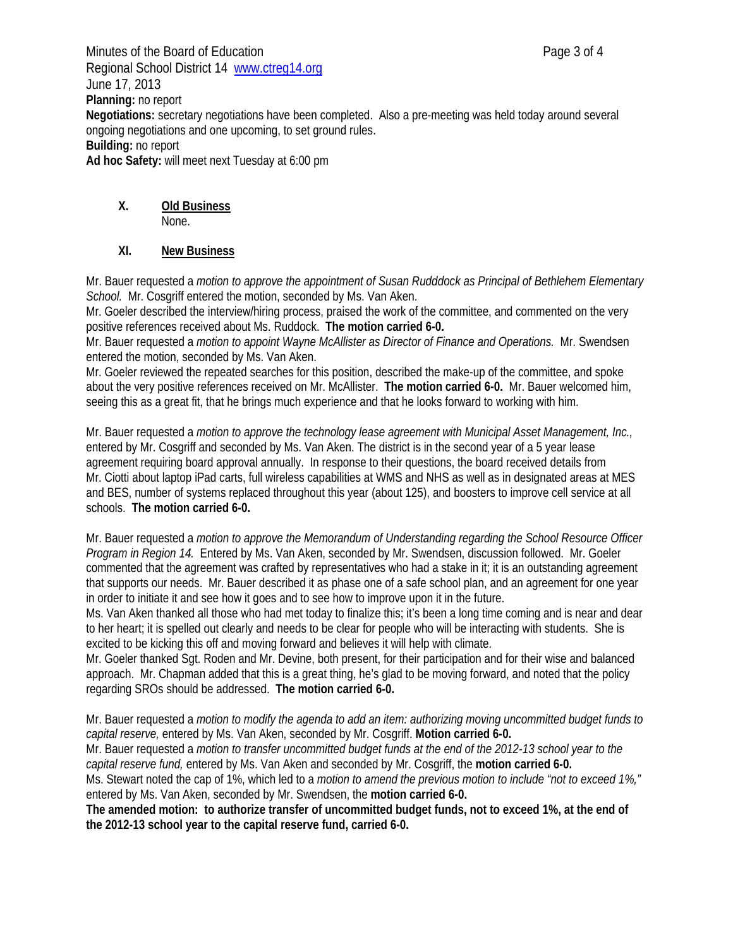Minutes of the Board of Education **Page 3 of 4** Regional School District 14 www.ctreg14.org June 17, 2013 **Planning:** no report **Negotiations:** secretary negotiations have been completed. Also a pre-meeting was held today around several ongoing negotiations and one upcoming, to set ground rules. **Building:** no report **Ad hoc Safety:** will meet next Tuesday at 6:00 pm

# **X. Old Business**

None.

# **XI. New Business**

Mr. Bauer requested a *motion to approve the appointment of Susan Rudddock as Principal of Bethlehem Elementary School.* Mr. Cosgriff entered the motion, seconded by Ms. Van Aken.

Mr. Goeler described the interview/hiring process, praised the work of the committee, and commented on the very positive references received about Ms. Ruddock. **The motion carried 6-0.** 

Mr. Bauer requested a *motion to appoint Wayne McAllister as Director of Finance and Operations.* Mr. Swendsen entered the motion, seconded by Ms. Van Aken.

Mr. Goeler reviewed the repeated searches for this position, described the make-up of the committee, and spoke about the very positive references received on Mr. McAllister. **The motion carried 6-0.** Mr. Bauer welcomed him, seeing this as a great fit, that he brings much experience and that he looks forward to working with him.

Mr. Bauer requested a *motion to approve the technology lease agreement with Municipal Asset Management, Inc.,* entered by Mr. Cosgriff and seconded by Ms. Van Aken. The district is in the second year of a 5 year lease agreement requiring board approval annually. In response to their questions, the board received details from Mr. Ciotti about laptop iPad carts, full wireless capabilities at WMS and NHS as well as in designated areas at MES and BES, number of systems replaced throughout this year (about 125), and boosters to improve cell service at all schools. **The motion carried 6-0.** 

Mr. Bauer requested a *motion to approve the Memorandum of Understanding regarding the School Resource Officer Program in Region 14.* Entered by Ms. Van Aken, seconded by Mr. Swendsen, discussion followed. Mr. Goeler commented that the agreement was crafted by representatives who had a stake in it; it is an outstanding agreement that supports our needs. Mr. Bauer described it as phase one of a safe school plan, and an agreement for one year in order to initiate it and see how it goes and to see how to improve upon it in the future.

Ms. Van Aken thanked all those who had met today to finalize this; it's been a long time coming and is near and dear to her heart; it is spelled out clearly and needs to be clear for people who will be interacting with students. She is excited to be kicking this off and moving forward and believes it will help with climate.

Mr. Goeler thanked Sgt. Roden and Mr. Devine, both present, for their participation and for their wise and balanced approach. Mr. Chapman added that this is a great thing, he's glad to be moving forward, and noted that the policy regarding SROs should be addressed. **The motion carried 6-0.** 

Mr. Bauer requested a *motion to modify the agenda to add an item: authorizing moving uncommitted budget funds to capital reserve,* entered by Ms. Van Aken, seconded by Mr. Cosgriff. **Motion carried 6-0.** Mr. Bauer requested a *motion to transfer uncommitted budget funds at the end of the 2012-13 school year to the capital reserve fund,* entered by Ms. Van Aken and seconded by Mr. Cosgriff, the **motion carried 6-0.** Ms. Stewart noted the cap of 1%, which led to a *motion to amend the previous motion to include "not to exceed 1%,"* entered by Ms. Van Aken, seconded by Mr. Swendsen, the **motion carried 6-0. The amended motion: to authorize transfer of uncommitted budget funds, not to exceed 1%, at the end of** 

**the 2012-13 school year to the capital reserve fund, carried 6-0.**